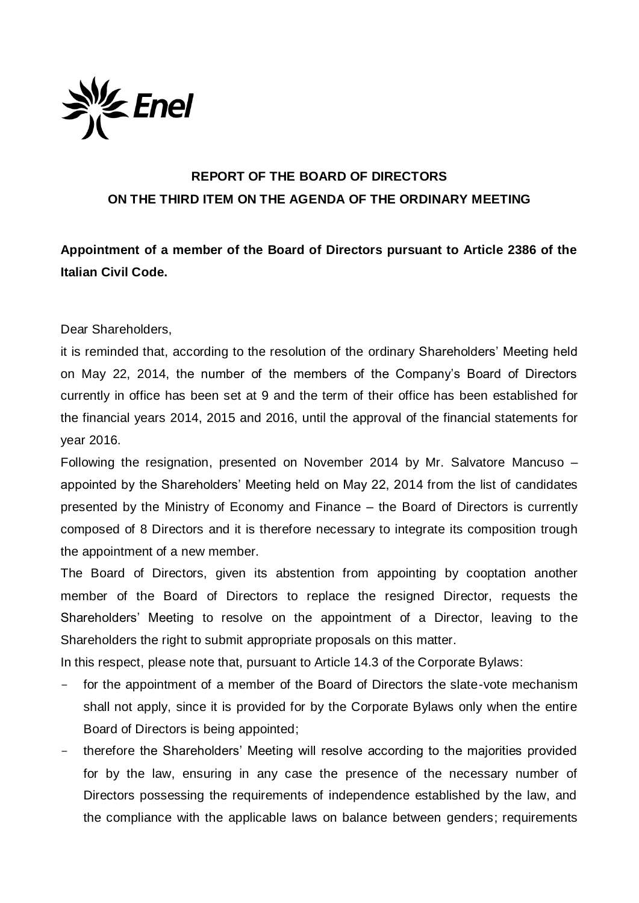

## **REPORT OF THE BOARD OF DIRECTORS ON THE THIRD ITEM ON THE AGENDA OF THE ORDINARY MEETING**

**Appointment of a member of the Board of Directors pursuant to Article 2386 of the Italian Civil Code.** 

Dear Shareholders,

it is reminded that, according to the resolution of the ordinary Shareholders' Meeting held on May 22, 2014, the number of the members of the Company's Board of Directors currently in office has been set at 9 and the term of their office has been established for the financial years 2014, 2015 and 2016, until the approval of the financial statements for year 2016.

Following the resignation, presented on November 2014 by Mr. Salvatore Mancuso – appointed by the Shareholders' Meeting held on May 22, 2014 from the list of candidates presented by the Ministry of Economy and Finance – the Board of Directors is currently composed of 8 Directors and it is therefore necessary to integrate its composition trough the appointment of a new member.

The Board of Directors, given its abstention from appointing by cooptation another member of the Board of Directors to replace the resigned Director, requests the Shareholders' Meeting to resolve on the appointment of a Director, leaving to the Shareholders the right to submit appropriate proposals on this matter.

In this respect, please note that, pursuant to Article 14.3 of the Corporate Bylaws:

- for the appointment of a member of the Board of Directors the slate-vote mechanism shall not apply, since it is provided for by the Corporate Bylaws only when the entire Board of Directors is being appointed;
- therefore the Shareholders' Meeting will resolve according to the majorities provided for by the law, ensuring in any case the presence of the necessary number of Directors possessing the requirements of independence established by the law, and the compliance with the applicable laws on balance between genders; requirements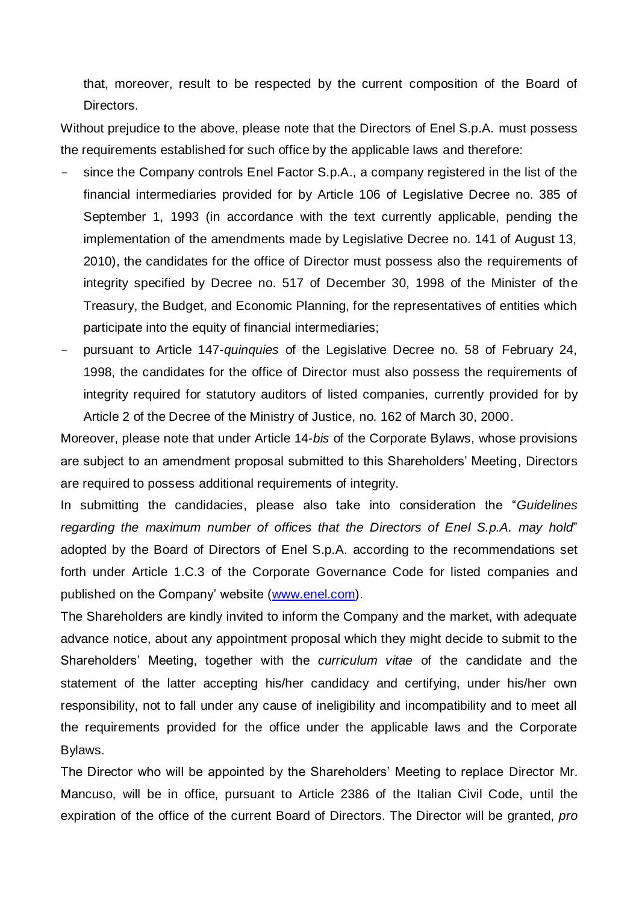that, moreover, result to be respected by the current composition of the Board of Directors.

Without prejudice to the above, please note that the Directors of Enel S.p.A. must possess the requirements established for such office by the applicable laws and therefore:

- since the Company controls Enel Factor S.p.A., a company registered in the list of the financial intermediaries provided for by Article 106 of Legislative Decree no. 385 of September 1, 1993 (in accordance with the text currently applicable, pending the implementation of the amendments made by Legislative Decree no. 141 of August 13, 2010), the candidates for the office of Director must possess also the requirements of integrity specified by Decree no. 517 of December 30, 1998 of the Minister of the Treasury, the Budget, and Economic Planning, for the representatives of entities which participate into the equity of financial intermediaries;
- pursuant to Article 147-*quinquies* of the Legislative Decree no. 58 of February 24, 1998, the candidates for the office of Director must also possess the requirements of integrity required for statutory auditors of listed companies, currently provided for by Article 2 of the Decree of the Ministry of Justice, no. 162 of March 30, 2000.

Moreover, please note that under Article 14-*bis* of the Corporate Bylaws, whose provisions are subject to an amendment proposal submitted to this Shareholders' Meeting, Directors are required to possess additional requirements of integrity.

In submitting the candidacies, please also take into consideration the "*Guidelines regarding the maximum number of offices that the Directors of Enel S.p.A. may hold*" adopted by the Board of Directors of Enel S.p.A. according to the recommendations set forth under Article 1.C.3 of the Corporate Governance Code for listed companies and published on the Company' website [\(www.enel.com\)](http://www.enel.com/).

The Shareholders are kindly invited to inform the Company and the market, with adequate advance notice, about any appointment proposal which they might decide to submit to the Shareholders' Meeting, together with the *curriculum vitae* of the candidate and the statement of the latter accepting his/her candidacy and certifying, under his/her own responsibility, not to fall under any cause of ineligibility and incompatibility and to meet all the requirements provided for the office under the applicable laws and the Corporate Bylaws.

The Director who will be appointed by the Shareholders' Meeting to replace Director Mr. Mancuso, will be in office, pursuant to Article 2386 of the Italian Civil Code, until the expiration of the office of the current Board of Directors. The Director will be granted, *pro*